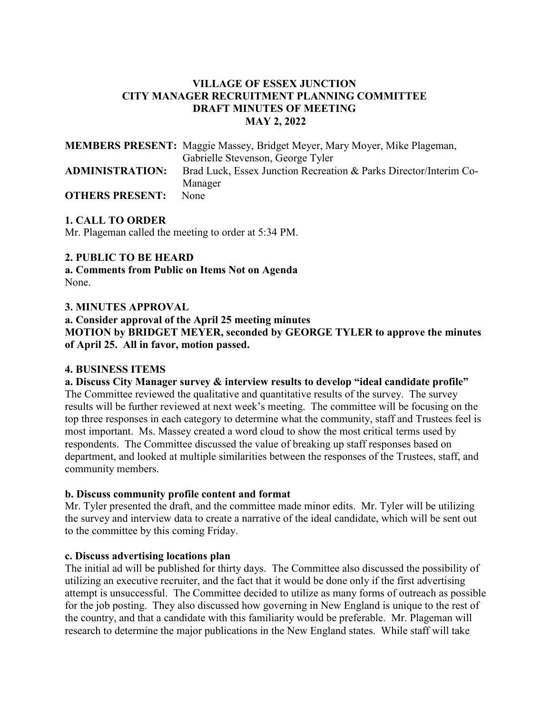### **VILLAGE OF ESSEX JUNCTION CITY MANAGER RECRUITMENT PLANNING COMMITTEE DRAFT MINUTES OF MEETING MAY 2, 2022**

|                        | <b>MEMBERS PRESENT:</b> Maggie Massey, Bridget Meyer, Mary Moyer, Mike Plageman, |
|------------------------|----------------------------------------------------------------------------------|
|                        | Gabrielle Stevenson, George Tyler                                                |
| <b>ADMINISTRATION:</b> | Brad Luck, Essex Junction Recreation & Parks Director/Interim Co-                |
|                        | Manager                                                                          |
| <b>OTHERS PRESENT:</b> | None                                                                             |

### **1. CALL TO ORDER**

Mr. Plageman called the meeting to order at 5:34 PM.

#### **2. PUBLIC TO BE HEARD**

**a. Comments from Public on Items Not on Agenda**  None.

#### **3. MINUTES APPROVAL**

**a. Consider approval of the April 25 meeting minutes MOTION by BRIDGET MEYER, seconded by GEORGE TYLER to approve the minutes of April 25. All in favor, motion passed.**

#### **4. BUSINESS ITEMS**

**a. Discuss City Manager survey & interview results to develop "ideal candidate profile"**  The Committee reviewed the qualitative and quantitative results of the survey. The survey results will be further reviewed at next week's meeting. The committee will be focusing on the top three responses in each category to determine what the community, staff and Trustees feel is most important. Ms. Massey created a word cloud to show the most critical terms used by respondents. The Committee discussed the value of breaking up staff responses based on department, and looked at multiple similarities between the responses of the Trustees, staff, and community members.

#### **b. Discuss community profile content and format**

Mr. Tyler presented the draft, and the committee made minor edits. Mr. Tyler will be utilizing the survey and interview data to create a narrative of the ideal candidate, which will be sent out to the committee by this coming Friday.

#### **c. Discuss advertising locations plan**

The initial ad will be published for thirty days. The Committee also discussed the possibility of utilizing an executive recruiter, and the fact that it would be done only if the first advertising attempt is unsuccessful. The Committee decided to utilize as many forms of outreach as possible for the job posting. They also discussed how governing in New England is unique to the rest of the country, and that a candidate with this familiarity would be preferable. Mr. Plageman will research to determine the major publications in the New England states. While staff will take